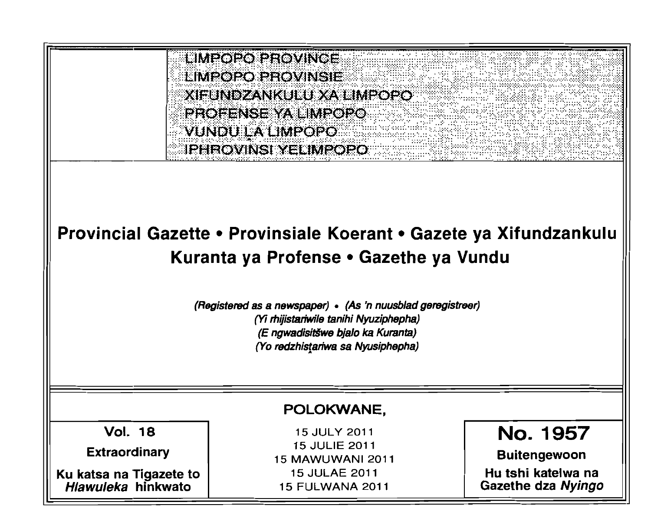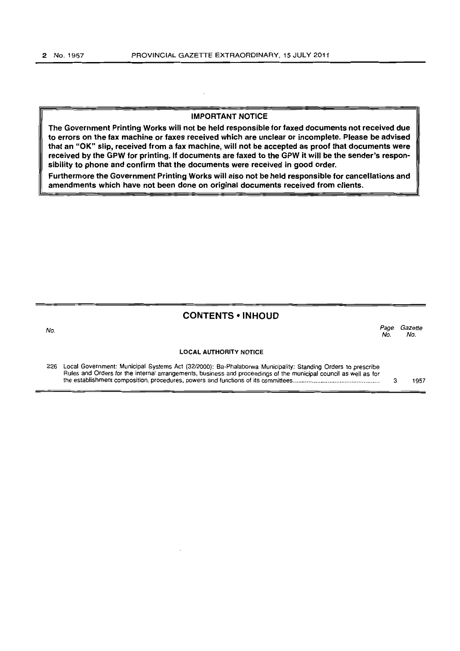## IMPORTANT NOTICE

The Government Printing Works will not be held responsible for faxed documents not received due to errors on the fax machine or faxes received which are unclear or incomplete. Please be advised that an "OK" slip, received from a fax machine, will not be accepted as proof that documents were received by the GPW for printing. If documents are faxed to the GPW it will be the sender's responsibility to phone and confirm that the documents were received in good order.

Furthermore the Government Printing Works will also not be held responsible for cancellations and amendments which have not been done on original documents received from clients.

#### CONTENTS • INHOUD

No. Page Gazette No. No.

#### LOCAL AUTHORITY NOTICE

226 Local Government: Municipal Systems Act (3212000): Ba-Phalaborwa Municipality: Standing Orders to prescribe Rules and Orders for the internal arrangements, business and proceedings of the municipal council as well as for the establishment composition, procedures, powers and functions of its committees ................................................ .. 3 1957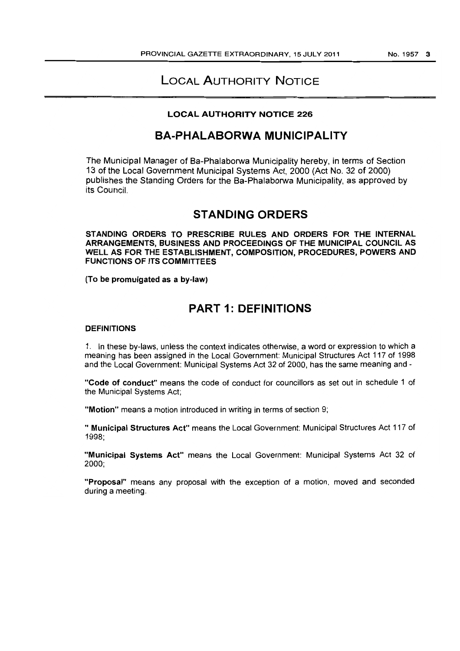# LOCAL AUTHORITY NOTICE

# LOCAL AUTHORITY NOTICE 226

# BA-PHALABORWA MUNICIPALITY

The Municipal Manager of Ba-Phalaborwa Municipality hereby, in terms of Section 13 of the Local Government Municipal Systems Act, 2000 (Act No. 32 of 2000) publishes the Standing Orders for the Ba-Phalaborwa Municipality, as approved by its Council.

# STANDING ORDERS

STANDING ORDERS TO PRESCRIBE RULES AND ORDERS FOR THE INTERNAL ARRANGEMENTS, BUSINESS AND PROCEEDINGS OF THE MUNICIPAL COUNCIL AS WELL AS FOR THE ESTABLISHMENT, COMPOSITION, PROCEDURES, POWERS AND FUNCTIONS OF ITS COMMITTEES

(To be promulgated as a by-law)

# PART 1: DEFINITIONS

#### **DEFINITIONS**

1. In these by-laws, unless the context indicates otherwise, a word or expression to which a meaning has been assigned in the Local Government: Municipal Structures Act 117 of 1998 and the Local Government: Municipal Systems Act 32 of 2000, has the same meaning and -

"Code of conduct" means the code of conduct for councillors as set out in schedule 1 of the Municipal Systems Act;

"Motion" means a motion introduced in writing in terms of section 9;

" Municipal Structures Act" means the Local Government: Municipal Structures Act 117 of 1998;

"Municipal Systems Act" means the Local Government: Municipal Systems Act 32 of 2000;

"Proposal" means any proposal with the exception of a motion, moved and seconded during a meeting.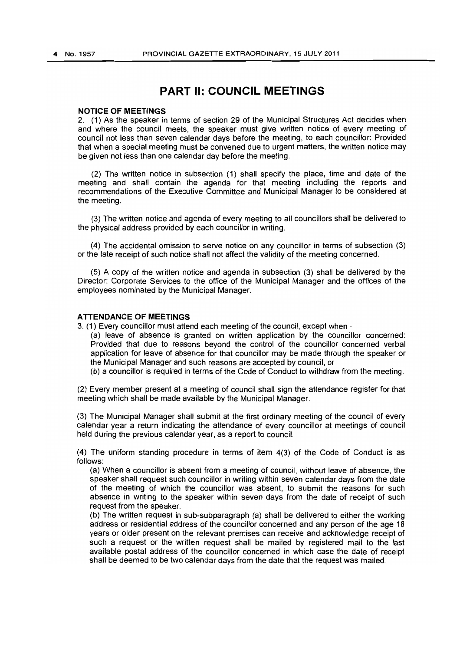# **PART II: COUNCIL MEETINGS**

#### **NOTICE OF MEETINGS**

2. (1) As the speaker in terms of section 29 of the Municipal Structures Act decides when and where the council meets, the speaker must give written notice of every meeting of council not less than seven calendar days before the meeting, to each councillor: Provided that when a special meeting must be convened due to urgent matters, the written notice may be given not less than one calendar day before the meeting.

(2) The written notice in subsection (1) shall specify the place, time and date of the meeting and shall contain the agenda for that meeting including the reports and recommendations of the Executive Committee and Municipal Manager to be considered at the meeting.

(3) The written notice and agenda of every meeting to all councillors shall be delivered to the physical address provided by each councillor in writing.

(4) The accidental omission to serve notice on any councillor in terms of subsection (3) or the late receipt of such notice shall not affect the validity of the meeting concerned.

(5) A copy of the written notice and agenda in subsection (3) shall be delivered by the Director: Corporate Services to the office of the Municipal Manager and the offices of the employees nominated by the Municipal Manager.

#### **ATTENDANCE OF MEETINGS**

3. (1) Every councillor must attend each meeting of the council, except when -

(a) leave of absence is granted on written application by the councillor concerned: Provided that due to reasons beyond the control of the councillor concerned verbal application for leave of absence for that councillor may be made through the speaker or the Municipal Manager and such reasons are accepted by council, or

(b) a councillor is required in terms of the Code of Conduct to withdraw from the meeting.

(2) Every member present at a meeting of council shall sign the attendance register for that meeting which shall be made available by the Municipal Manager.

(3) The Municipal Manager shall submit at the first ordinary meeting of the council of every calendar year a return indicating the attendance of every councillor at meetings of council held during the previous calendar year, as a report to council.

(4) The uniform standing procedure in terms of item 4(3) of the Code of Conduct is as follows:

(a) When a councillor is absent from a meeting of council, without leave of absence, the speaker shall request such councillor in writing within seven calendar days from the date of the meeting of which the councillor was absent, to submit the reasons for such absence in writing to the speaker within seven days from the date of receipt of such request from the speaker.

(b) The written request in sub-subparagraph (a) shall be delivered to either the working address or residential address of the councillor concerned and any person of the age 18 years or older present on the relevant premises can receive and acknowledge receipt of such a request or the written request shall be mailed by registered mail to the last available postal address of the councillor concerned in which case the date of receipt shall be deemed to be two calendar days from the date that the request was mailed.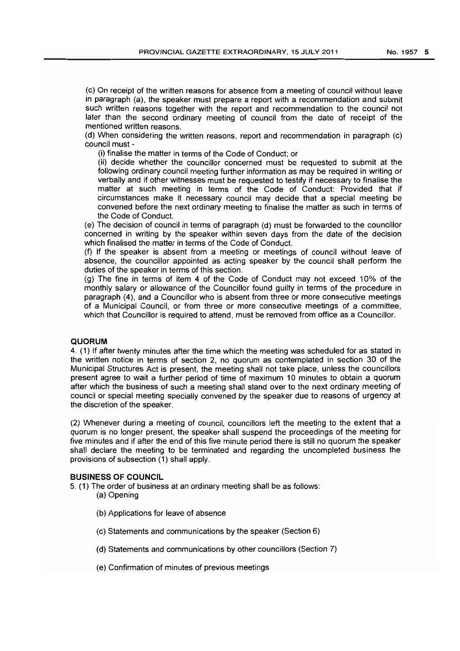(c) On receipt of the written reasons for absence from a meeting of council without leave in paragraph (a), the speaker must prepare a report with a recommendation and submit such written reasons together with the report and recommendation to the council not later than the second ordinary meeting of council from the date of receipt of the mentioned written reasons.

(d) When considering the written reasons, report and recommendation in paragraph (c) council must -

(i) finalise the matter in terms of the Code of Conduct; or

(ii) decide whether the councillor concerned must be requested to submit at the following ordinary council meeting further information as may be required in writing or verbally and if other witnesses must be requested to testify if necessary to finalise the matter at such meeting in terms of the Code of Conduct: Provided that if circumstances make it necessary council may decide that a special meeting be convened before the next ordinary meeting to finalise the matter as such in terms of the Code of Conduct.

(e) The decision of council in terms of paragraph (d) must be forwarded to the councillor concerned in writing by the speaker within seven days from the date of the decision which finalised the matter in terms of the Code of Conduct.

(f) If the speaker is absent from a meeting or meetings of council without leave of absence, the councillor appointed as acting speaker by the council shall perform the duties of the speaker in terms of this section.

(g) The fine in terms of item 4 of the Code of Conduct may not exceed 10% of the monthly salary or allowance of the Councillor found guilty in terms of the procedure in paragraph (4), and a Councillor who is absent from three or more consecutive meetings of a Municipal Council, or from three or more consecutive meetings of a committee, which that Councillor is required to attend, must be removed from office as a Councillor.

#### **QUORUM**

4. (1) If after twenty minutes after the time which the meeting was scheduled for as stated in the written notice in terms of section 2, no quorum as contemplated in section 30 of the Municipal Structures Act is present, the meeting shall not take place, unless the councillors present agree to wait a further period of time of maximum 10 minutes to obtain a quorum after which the business of such a meeting shall stand over to the next ordinary meeting of council or special meeting specially convened by the speaker due to reasons of urgency at the discretion of the speaker.

(2) Whenever during a meeting of council, councillors left the meeting to the extent that a quorum is no longer present, the speaker shall suspend the proceedings of the meeting for five minutes and if after the end of this five minute period there is still no quorum the speaker shall declare the meeting to be terminated and regarding the uncompleted business the provisions of subsection (1) shall apply.

#### **BUSINESS OF COUNCIL**

5. (1) The order of business at an ordinary meeting shall be as follows:

- (a) Opening
	- (b) Applications for leave of absence
	- (c) Statements and communications by the speaker (Section 6)
	- (d) Statements and communications by other councillors (Section 7)
	- (e) Confirmation of minutes of previous meetings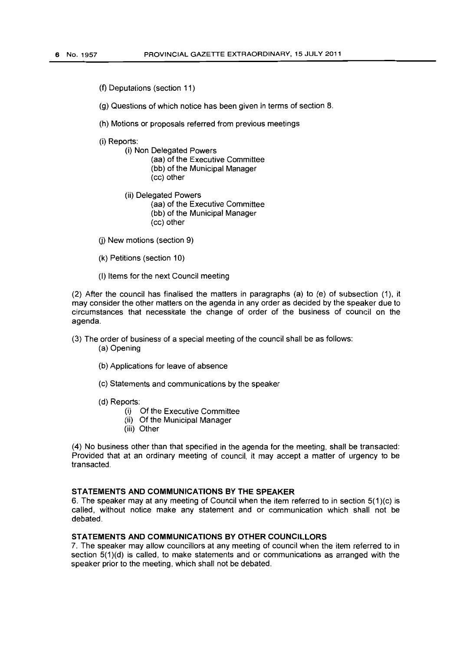(f) Deputations (section 11)

(g) Questions of which notice has been given in terms of section 8.

(h) Motions or proposals referred from previous meetings

(i) Reports:

(i) Non Delegated Powers (aa) of the Executive Committee (bb) of the Municipal Manager (cc) other

(ii) Delegated Powers

(aa) of the Executive Committee

(bb) of the Municipal Manager

- (cc) other
- (j) New motions (section 9)
- (k) Petitions (section 10)
- (I) Items for the next Council meeting

(2) After the council has finalised the matters in paragraphs (a) to (e) of SUbsection (1). it may consider the other matters on the agenda in any order as decided by the speaker due to circumstances that necessitate the change of order of the business of council on the agenda.

- (3) The order of business of a special meeting of the council shall be as follows: (a) Opening
	- (b) Applications for leave of absence
	- (c) Statements and communications by the speaker
	- (d) Reports:
		- (i) Of the Executive Committee
		- (ii) Of the Municipal Manager
		- (iii) Other

(4) No business other than that specified in the agenda for the meeting, shall be transacted: Provided that at an ordinary meeting of council, it may accept a matter of urgency to be transacted.

#### **STATEMENTS AND COMMUNICATIONS BY THE SPEAKER**

6. The speaker may at any meeting of Council when the item referred to in section  $5(1)(c)$  is called, without notice make any statement and or communication which shall not be debated.

## **STATEMENTS AND COMMUNICATIONS BY OTHER COUNCILLORS**

7. The speaker may allow councillors at any meeting of council when the item referred to in section 5(1)(d) is called, to make statements and or communications as arranged with the speaker prior to the meeting, which shall not be debated.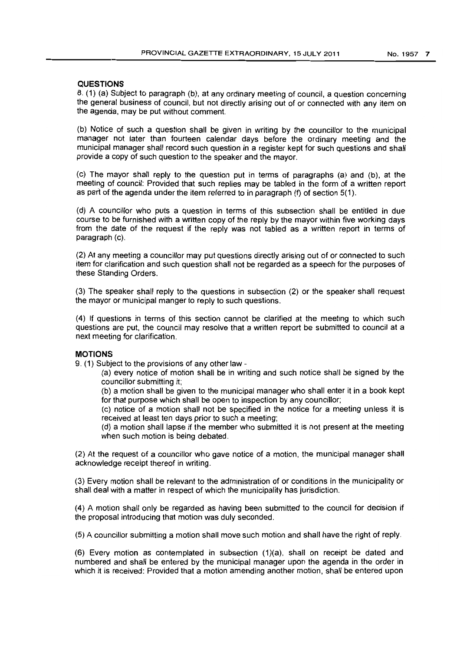## **QUESTIONS**

8. (1) (a) Subject to paragraph (b), at any ordinary meeting of council. a question concerning the general business of council. but not directly arising out of or connected with any item on the agenda, may be put without comment.

(b) Notice of such a question shall be given in writing by the councillor to the municipal manager not later than fourteen calendar days before the ordinary meeting and the municipal manager shall record such question in a register kept for such questions and shall provide a copy of such question to the speaker and the mayor.

(c) The mayor shall reply to the question put in terms of paragraphs (a) and (b), at the meeting of council: Provided that such replies may be tabled in the form of a written report as part of the agenda under the item referred to in paragraph (f) of section  $5(1)$ .

(d) A councillor who puts a question in terms of this subsection shall be entitled in due course to be furnished with a written copy of the reply by the mayor within five working days from the date of the request if the reply was not tabled as a written report in terms of paragraph (c).

(2) At any meeting a councillor may put questions directly arising out of or connected to such item for clarification and such question shall not be regarded as a speech for the purposes of these Standing Orders.

(3) The speaker shall reply to the questions in subsection (2) or the speaker shall request the mayor or municipal manger to reply to such questions.

(4) If questions in terms of this section cannot be clarified at the meeting to which such questions are put, the council may resolve that a written report be submitted to council at a next meeting for clarification.

#### **MOTIONS**

9. (1) Subject to the provisions of any other law -

- (a) every notice of motion shall be in writing and such notice shall be signed by the councillor submitting it;
- (b) a motion shall be given to the municipal manager who shall enter it in a book kept for that purpose which shall be open to inspection by any councillor;
- (c) notice of a motion shall not be specified in the notice for a meeting unless it is received at least ten days prior to such a meeting;
- (d) a motion shall lapse if the member who submitted it is not present at the meeting when such motion is being debated.

(2) At the request of a councillor who gave notice of a motion, the municipal manager shall acknowledge receipt thereof in writing.

(3) Every motion shall be relevant to the administration of or conditions in the municipality or shall deal with a matter in respect of which the municipality has jurisdiction.

(4) A motion shall only be regarded as having been submitted to the council for decision if the proposal introducing that motion was duly seconded.

(5) A councillor submitting a motion shall move such motion and shall have the right of reply.

(6) Every motion as contemplated in subsection (1)(a), shall on receipt be dated and numbered and shall be entered by the municipal manager upon the agenda in the order in which it is received: Provided that a motion amending another motion, shall be entered upon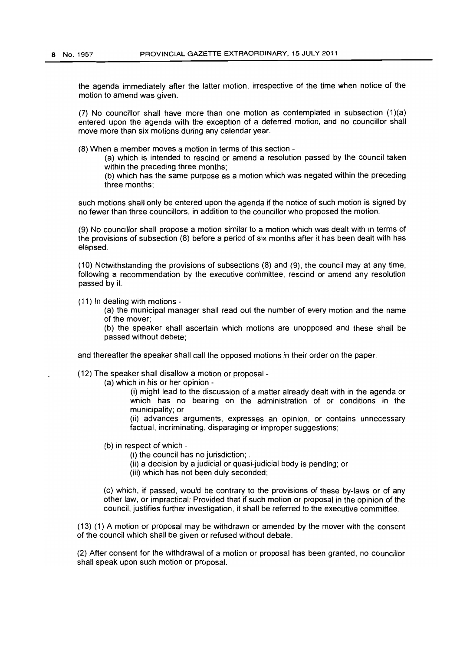the agenda immediately after the latter motion, irrespective of the time when notice of the motion to amend was given.

(7) No councillor shall have more than one motion as contemplated in subsection (1)(a) entered upon the agenda with the exception of a deferred motion, and no councillor shall move more than six motions during any calendar year.

(8) When a member moves a motion in terms of this section -

(a) which is intended to rescind or amend a resolution passed by the council taken within the preceding three months;

(b) which has the same purpose as a motion which was negated within the preceding three months;

such motions shall only be entered upon the agenda if the notice of such motion is signed by no fewer than three councillors, in addition to the councillor who proposed the motion.

(9) No councillor shall propose a motion similar to a motion which was dealt with in terms of the provisions of subsection (8) before a period of six months after it has been dealt with has elapsed.

(10) Notwithstanding the provisions of subsections (8) and (9), the council may at any time, following a recommendation by the executive committee, rescind or amend any resolution passed by it.

(11) In dealing with motions -

(a) the municipal manager shall read out the number of every motion and the name of the mover;

(b) the speaker shall ascertain which motions are unopposed and these shall be passed without debate;

and thereafter the speaker shall call the opposed motions in their order on the paper.

(12) The speaker shall disallow a motion or proposal-

(a) which in his or her opinion -

(i) might lead to the discussion of a matter already dealt with in the agenda or which has no bearing on the administration of or conditions in the municipality; or

(ii) advances arguments, expresses an opinion, or contains unnecessary factual, incriminating, disparaging or improper suggestions;

(b) in respect of which -

(i) the council has no jurisdiction; .

- (ii) a decision by a judicial or quasi-judicial body is pending; or
- (iii) which has not been duly seconded;

(c) which, if passed, would be contrary to the provisions of these by-laws or of any other law, or impractical: Provided that if such motion or proposal in the opinion of the council, justifies further investigation, it shall be referred to the executive committee.

(13) (1) A motion or proposal may be withdrawn or amended by the mover with the consent of the council which shall be given or refused without debate.

(2) After consent for the withdrawal of a motion or proposal has been granted, no councillor shall speak upon such motion or proposal.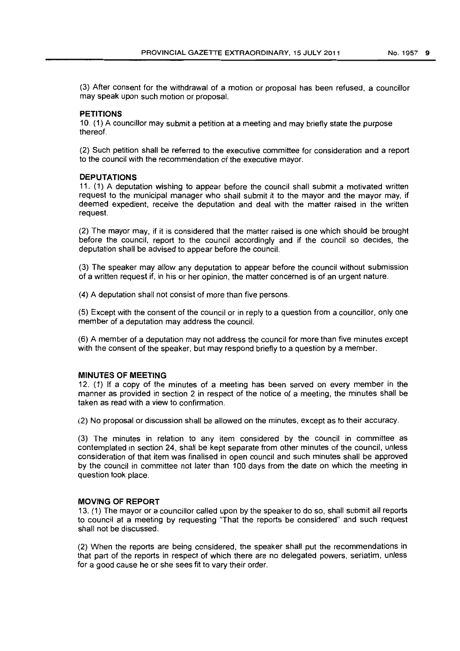(3) After consent for the withdrawal of a motion or proposal has been refused, a councillor may speak upon such motion or proposal.

## **PETITIONS**

10. (1) A councillor may submit a petition at a meeting and may briefly state the purpose thereof.

(2) Such petition shall be referred to the executive committee for consideration and a report to the council with the recommendation of the executive mayor.

#### **DEPUTATIONS**

11. (1) A deputation wishing to appear before the council shall submit a motivated written request to the municipal manager who shall submit it to the mayor and the mayor may, if deemed expedient, receive the deputation and deal with the matter raised in the written request.

(2) The mayor may, if it is considered that the matter raised is one which should be brought before the council. report to the council accordingly and if the council so decides, the deputation shall be advised to appear before the council.

(3) The speaker may allow any deputation to appear before the council without submission of a written request if, in his or her opinion, the matter concerned is of an urgent nature.

(4) A deputation shall not consist of more than five persons.

(5) Except with the consent of the council or in reply to a question from a councillor, only one member of a deputation may address the council.

(6) A member of a deputation may not address the council for more than five minutes except with the consent of the speaker, but may respond briefly to a question by a member.

#### **MINUTES OF MEETING**

12. (1) If a copy of the minutes of a meeting has been served on every member in the manner as provided in section 2 in respect of the notice of a meeting, the minutes shall be taken as read with a view to confirmation.

(2) No proposal or discussion shall be allowed on the minutes, except as to their accuracy.

(3) The minutes in relation to any item considered by the council in committee as contemplated in section 24, shall be kept separate from other minutes of the council. unless consideration of that item was finalised in open council and such minutes shall be approved by the council in committee not later than 100 days from the date on which the meeting in question took place.

#### **MOVING OF REPORT**

13. (1) The mayor or a councillor called upon by the speaker to do so, shall submit all reports to council at a meeting by requesting "That the reports be considered" and such request shall not be discussed.

(2) When the reports are being considered, the speaker shall put the recommendations in that part of the reports in respect of which there are no delegated powers, seriatim, unless for a good cause he or she sees fit to vary their order.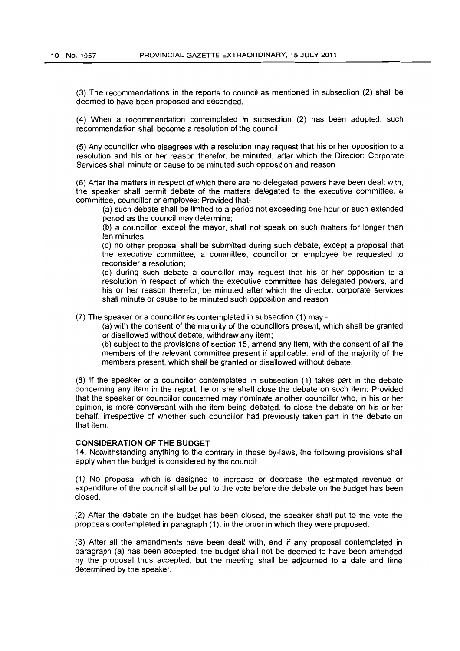(3) The recommendations in the reports to council as mentioned in subsection (2) shall be deemed to have been proposed and seconded.

(4) When a recommendation contemplated in subsection (2) has been adopted, such recommendation shall become a resolution of the council.

(5) Any councillor who disagrees with a resolution may request that his or her opposition to a resolution and his or her reason therefor, be minuted, after which the Director: Corporate Services shall minute or cause to be minuted such opposition and reason.

(6) After the matters in respect of which there are no delegated powers have been dealt with, the speaker shall permit debate of the matters delegated to the executive committee, a committee, councillor or employee: Provided that-

(a) such debate shall be limited to a period not exceeding one hour or such extended period as the council may determine;

(b) a councillor, except the mayor, shall not speak on such matters for longer than ten minutes;

(c) no other proposal shall be submitted during such debate, except a proposal that the executive committee, a committee, councillor or employee be requested to reconsider a resolution;

(d) during such debate a councillor may request that his or her opposition to a resolution in respect of which the executive committee has delegated powers, and his or her reason therefor, be minuted after which the director: corporate services shall minute or cause to be minuted such opposition and reason.

(7) The speaker or a councillor as contemplated in subsection (1) may -

(a) with the consent of the majority of the councillors present, which shall be granted or disallowed without debate, withdraw any item;

(b) subject to the provisions of section 15, amend any item, with the consent of all the members of the relevant committee present if applicable, and of the majority of the members present, which shall be granted or disallowed without debate.

(8) If the speaker or a councillor contemplated in subsection (1) takes part in the debate concerning any item in the report, he or she shall close the debate on such item: Provided that the speaker or councillor concerned may nominate another councillor who, in his or her opinion, is more conversant with the item being debated, to close the debate on his or her behalf, irrespective of whether such councillor had previously taken part in the debate on that item.

#### **CONSIDERATION OF THE BUDGET**

14. Notwithstanding anything to the contrary in these by-laws, the following provisions shall apply when the budget is considered by the council:

(1) No proposal which is designed to increase or decrease the estimated revenue or expenditure of the council shall be put to the vote before the debate on the budget has been closed.

(2) After the debate on the budget has been closed, the speaker shall put to the vote the proposals contemplated in paragraph (1), in the order in which they were proposed.

(3) After all the amendments have been dealt with, and if any proposal contemplated in paragraph (a) has been accepted, the budget shall not be deemed to have been amended by the proposal thus accepted, but the meeting shall be adjourned to a date and time determined by the speaker.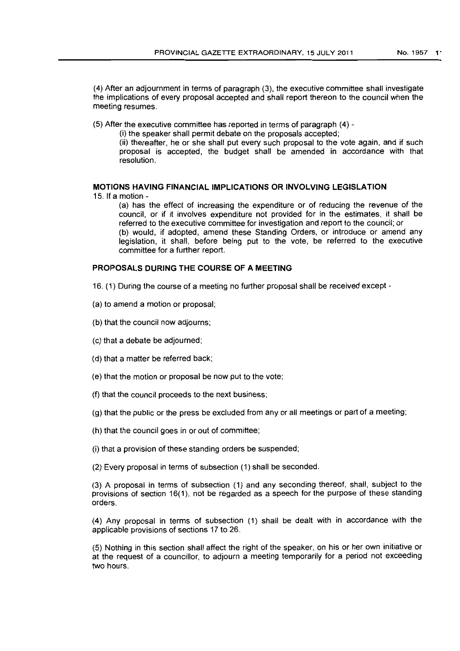(4) After an adjournment in terms of paragraph (3). the executive committee shall investigate the implications of every proposal accepted and shall report thereon to the council when the meeting resumes.

(5) After the executive committee has reported in terms of paragraph (4)-

(i) the speaker shall permit debate on the proposals accepted;

(ii) thereafter. he or she shall put every such proposal to the vote again. and if such proposal is accepted. the budget shall be amended in accordance with that resolution.

# MOTIONS HAVING FINANCIAL IMPLICATIONS OR INVOLVING LEGISLATION

15. If a motion -

(a) has the effect of increasing the expenditure or of reducing the revenue of the council. or if it involves expenditure not provided for in the estimates. it shall be referred to the executive committee for investigation and report to the council; or (b) would. if adopted. amend these Standing Orders, or introduce or amend any legislation, it shall, before being put to the vote, be referred to the executive committee for a further report.

# PROPOSALS DURING THE COURSE OF A MEETING

- 16. (1) During the course of a meeting no further proposal shall be received except
- (a) to amend a motion or proposal;
- (b) that the council now adjourns;
- (c) that a debate be adjourned;
- (d) that a matter be referred back;
- (e) that the motion or proposal be now put to the vote;
- (f) that the council proceeds to the next business;
- (g) that the public or the press be excluded from any or all meetings or part of a meeting;
- (h) that the council goes in or out of committee;
- (i) that a provision of these standing orders be suspended;
- (2) Every proposal in terms of subsection (1) shall be seconded.

(3) A proposal in terms of subsection (1) and any seconding thereof, shall, subject to the provisions of section 16(1), not be regarded as a speech for the purpose of these standing orders.

(4) Any proposal in terms of subsection (1) shall be dealt with in accordance with the applicable provisions of sections 17 to 26.

(5) Nothing in this section shall affect the right of the speaker. on his or her own initiative or at the request of a councillor. to adjourn a meeting temporarily for a period not exceeding two hours.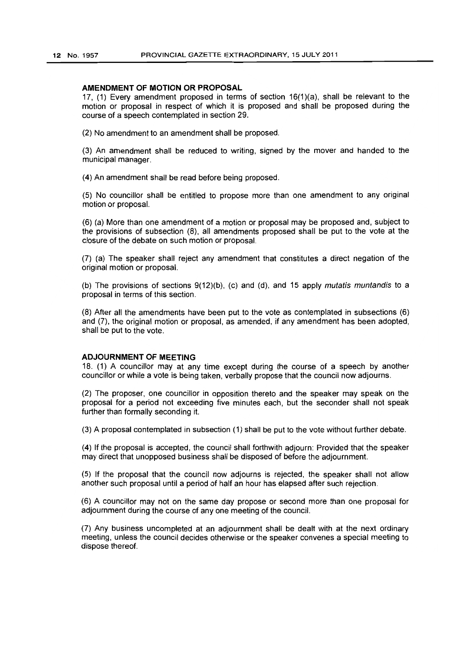#### **AMENDMENT OF MOTION OR PROPOSAL**

17, (1) Every amendment proposed in terms of section 16(1)(a), shall be relevant to the motion or proposal in respect of which it is proposed and shall be proposed during the course of a speech contemplated in section 29.

(2) No amendment to an amendment shall be proposed.

(3) An amendment shall be reduced to writing, signed by the mover and handed to the municipal manager.

(4) An amendment shall be read before being proposed.

(5) No councillor shall be entitled to propose more than one amendment to any original motion or proposal.

(6) (a) More than one amendment of a motion or proposal may be proposed and, subject to the provisions of subsection (8), all amendments proposed shall be put to the vote at the closure of the debate on such motion or proposal.

(7) (a) The speaker shall reject any amendment that constitutes a direct negation of the original motion or proposal.

(b) The provisions of sections 9(12)(b). (c) and (d), and 15 apply mutatis muntandis to a proposal in terms of this section.

(8) After all the amendments have been put to the vote as contemplated in subsections (6) and (7), the original motion or proposal, as amended, if any amendment has been adopted, shall be put to the vote.

#### **ADJOURNMENT OF MEETING**

18. (1) A councillor may at any time except during the course of a speech by another councillor or while a vote is being taken, verbally propose that the council now adjourns.

(2) The proposer, one councillor in opposition thereto and the speaker may speak on the proposal for a period not exceeding five minutes each, but the seconder shall not speak further than formally seconding it.

(3) A proposal contemplated in subsection (1) shall be put to the vote without further debate.

(4) If the proposal is accepted, the council shall forthwith adjourn: Provided that the speaker may direct that unopposed business shall be disposed of before the adjournment.

(5) If the proposal that the council now adjourns is rejected, the speaker shall not allow another such proposal until a period of half an hour has elapsed after such rejection.

(6) A councillor may not on the same day propose or second more than one proposal for adjournment during the course of anyone meeting of the council.

(7) Any business uncompleted at an adjournment shall be dealt with at the next ordinary meeting, unless the council decides otherwise or the speaker convenes a special meeting to dispose thereof.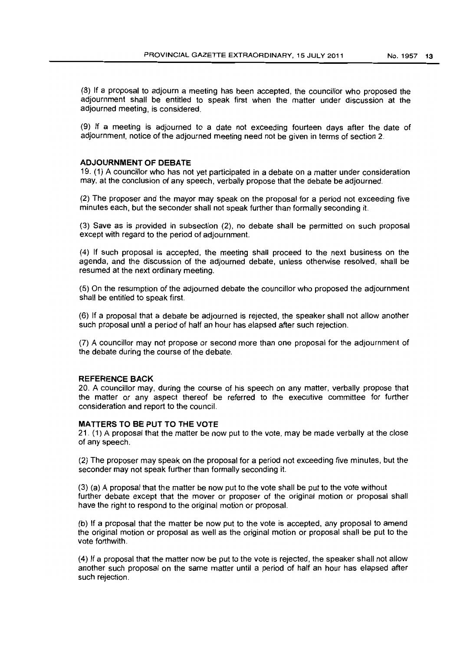(8) If a proposal to adjourn a meeting has been accepted, the councillor who proposed the adjournment shall be entitled to speak first when the matter under discussion at the adjourned meeting, is considered.

(9) If a meeting is adjourned to a date not exceeding fourteen days after the date of adjournment, notice of the adjourned meeting need not be given in terms of section 2.

#### **ADJOURNMENT OF DEBATE**

19. (1) A councillor who has not yet participated in a debate on a matter under consideration may, at the conclusion of any speech, verbally propose that the debate be adjourned.

(2) The proposer and the mayor may speak on the proposal for a period not exceeding five minutes each, but the seconder shall not speak further than formally seconding it.

(3) Save as is provided in subsection (2), no debate shall be permitted on such proposal except with regard to the period of adjournment.

(4) If such proposal is accepted, the meeting shall proceed to the next business on the agenda, and the discussion of the adjourned debate, unless otherwise resolved, shall be resumed at the next ordinary meeting.

(5) On the resumption of the adjourned debate the councillor who proposed the adjournment shalt be entitled to speak first.

(6) If a proposal that a debate be adjourned is rejected, the speaker shall not allow another such proposal until a period of half an hour has elapsed after such rejection.

(7) A councillor may not propose or second more than one proposal for the adjournment of the debate during the course of the debate.

#### **REFERENCE BACK**

20. A councillor may, during the course of his speech on any matter, verbally propose that the matter or any aspect thereof be referred to the executive committee for further consideration and report to the council.

#### **MATTERS TO BE PUT TO THE VOTE**

21. (1) A proposal that the matter be now put to the vote, may be made verbally at the close of any speech.

(2) The proposer may speak on the proposal for a period not exceeding five minutes, but the seconder may not speak further than formally seconding it.

(3) (a) A proposal that the matter be now put to the vote shall be put to the vote without further debate except that the mover or proposer of the original motion or proposal shall have the right to respond to the original motion or proposal.

(b) If a proposal that the matter be now put to the vote is accepted, any proposal to amend the original motion or proposal as well as the original motion or proposal shall be put to the vote forthwith.

(4) If a proposal that the matter now be put to the vote is rejected, the speaker shall not allow another such proposal on the same matter until a period of half an hour has elapsed after such rejection.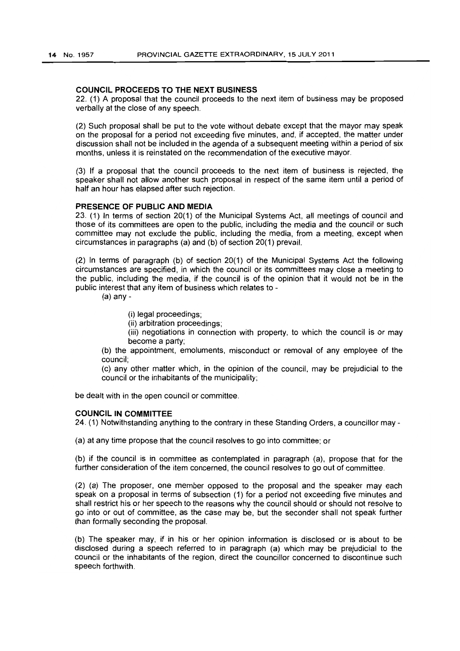#### COUNCIL PROCEEDS TO THE NEXT BUSINESS

22. (1) A proposal that the council proceeds to the next item of business may be proposed verbally at the close of any speech.

(2) Such proposal shall be put to the vote without debate except that the mayor may speak on the proposal for a period not exceeding five minutes, and, if accepted, the matter under discussion shall not be included in the agenda of a subsequent meeting within a period of six months, unless it is reinstated on the recommendation of the executive mayor.

(3) If a proposal that the council proceeds to the next item of business is rejected, the speaker shall not allow another such proposal in respect of the same item until a period of half an hour has elapsed after such rejection.

#### PRESENCE OF PUBLIC AND MEDIA

23. (1) In terms of section 20(1) of the Municipal Systems Act, all meetings of council and those of its committees are open to the public, including the media and the council or such committee may not exclude the public, including the media, from a meeting, except when circumstances in paragraphs (a) and (b) of section 20(1) prevail.

(2) In terms of paragraph (b) of section 20(1) of the Municipal Systems Act the following circumstances are specified, in which the council or its committees may close a meeting to the public, including the media, if the council is of the opinion that it would not be in the public interest that any item of business which relates to -

(a) any-

(i) legal proceedings;

(ii) arbitration proceedings;

(iii) negotiations in connection with property, to which the council is or may become a party;

(b) the appointment, emoluments, misconduct or removal of any employee of the council;

(c) any other matter which, in the opinion of the council, may be prejudicial to the council or the inhabitants of the municipality;

be dealt with in the open council or committee.

#### COUNCIL IN COMMITTEE

24. (1) Notwithstanding anything to the contrary in these Standing Orders, a councillor may-

(a) at any time propose that the council resolves to go into committee; or

(b) if the council is in committee as contemplated in paragraph (a), propose that for the further consideration of the item concerned, the council resolves to go out of committee.

(2) (a) The proposer, one member opposed to the proposal and the speaker may each speak on a proposal in terms of subsection (1) for a period not exceeding five minutes and shall restrict his or her speech to the reasons why the council should or should not resolve to go into or out of committee, as the case may be, but the seconder shall not speak further than formally seconding the proposal.

(b) The speaker may, if in his or her opinion information is disclosed or is about to be disclosed during a speech referred to in paragraph (a) which may be prejudicial to the council or the inhabitants of the region, direct the councillor concerned to discontinue such speech forthwith.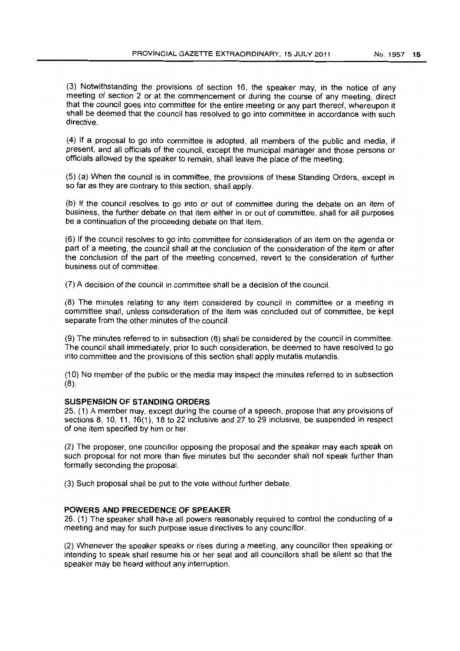(3) Notwithstanding the provisions of section 16, the speaker may, in the notice of any meeting of section 2 or at the commencement or during the course of any meeting, direct that the council goes into committee for the entire meeting or any part thereof, whereupon it shall be deemed that the council has resolved to go into committee in accordance with such directive.

(4) If a proposal to go into committee is adopted, all members of the public and media, if present, and all officials of the council, except the municipal manager and those persons or officials allowed by the speaker to remain, shall leave the place of the meeting.

(5) (a) When the council is in committee, the provisions of these Standing Orders, except in so far as they are contrary to this section, shall apply.

(b) If the council resolves to go into or out of committee during the debate on an item of business, the further debate on that item either in or out of committee, shall for all purposes be a continuation of the proceeding debate on that item.

(6) If the council resolves to go into committee for consideration of an item on the agenda or part of a meeting, the council shall at the conclusion of the consideration of the item or after the conclusion of the part of the meeting concerned, revert to the consideration of further business out of committee.

(7) A decision of the council in committee shall be a decision of the council.

(8) The minutes relating to any item considered by council in committee or a meeting in committee shall, unless consideration of the item was concluded out of committee, be kept separate from the other minutes of the council.

(9) The minutes referred to in subsection (8) shall be considered by the council in committee. The council shall immediately, prior to such consideration, be deemed to have resolved to go into committee and the provisions of this section shall apply mutatis mutandis.

(10) No member of the public or the media may inspect the minutes referred to in subsection (8).

#### **SUSPENSION OF STANDING ORDERS**

25. (1) A member may, except during the course of a speech, propose that any provisions of sections 8, 10, 11, 16(1), 18 to 22 inclusive and 27 to 29 inclusive, be suspended in respect of one item specified by him or her.

(2) The proposer, one councillor opposing the proposal and the speaker may each speak on such proposal for not more than five minutes but the seconder shall not speak further than formally seconding the proposal.

(3) Such proposal shall be put to the vote without further debate.

#### **POWERS AND PRECEDENCE OF SPEAKER**

26. (1) The speaker shall have all powers reasonably required to control the conducting of a meeting and may for such purpose issue directives to any councillor.

(2) Whenever the speaker speaks or rises during a meeting, any councillor then speaking or intending to speak shall resume his or her seat and all councillors shall be silent so that the speaker may be heard without any interruption.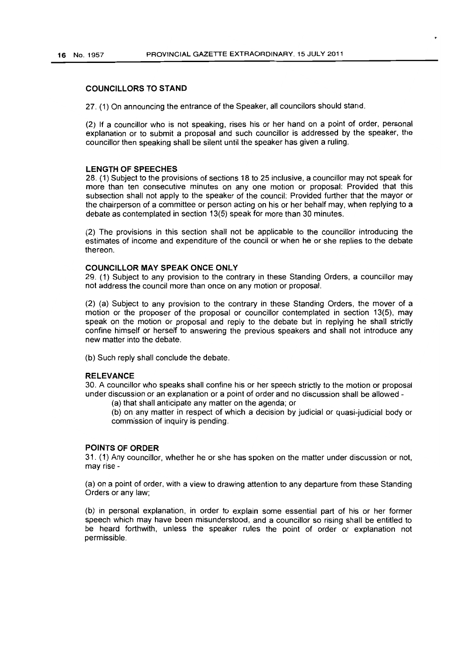#### COUNCILLORS TO STAND

27. (1) On announcing the entrance of the Speaker, all councilors should stand.

(2) If a councillor who is not speaking, rises his or her hand on a point of order. personal explanation or to submit a proposal and such councillor is addressed by the speaker. the councillor then speaking shall be silent until the speaker has given a ruling.

#### LENGTH OF SPEECHES

28. (1) Subject to the provisions of sections 18 to 25 inclusive. a councillor may not speak for more than ten consecutive minutes on anyone motion or proposal: Provided that this subsection shall not apply to the speaker of the council: Provided further that the mayor or the chairperson of a committee or person acting on his or her behalf may. when replying to a debate as contemplated in section 13(5) speak for more than 30 minutes.

(2) The provisions in this section shall not be applicable to the councillor introducing the estimates of income and expenditure of the council or when he or she replies to the debate thereon.

#### COUNCILLOR MAY SPEAK ONCE ONLY

29. (1) Subject to any provision to the contrary in these Standing Orders. a councillor may not address the council more than once on any motion or proposal.

(2) (a) Subject to any provision to the contrary in these Standing Orders, the mover of a motion or the proposer of the proposal or councillor contemplated in section 13(5), may speak on the motion or proposal and reply to the debate but in replying he shall strictly confine himself or herself to answering the previous speakers and shall not introduce any new matter into the debate.

(b) Such reply shall conclude the debate.

#### **RELEVANCE**

30. A councillor who speaks shall confine his or her speech strictly to the motion or proposal under discussion or an explanation or a point of order and no discussion shall be allowed -

(a) that shall anticipate any matter on the agenda; or

(b) on any matter in respect of which a decision by judicial or quasi-judicial body or commission of inquiry is pending.

#### POINTS OF ORDER

31. (1) Any councillor. whether he or she has spoken on the matter under discussion or not, may rise-

(a) on a point of order. with a view to drawing attention to any departure from these Standing Orders or any law;

(b) in personal explanation. in order to explain some essential part of his or her former speech which may have been misunderstood, and a councillor so rising shall be entitled to be heard forthwith. unless the speaker rules the point of order or explanation not permissible.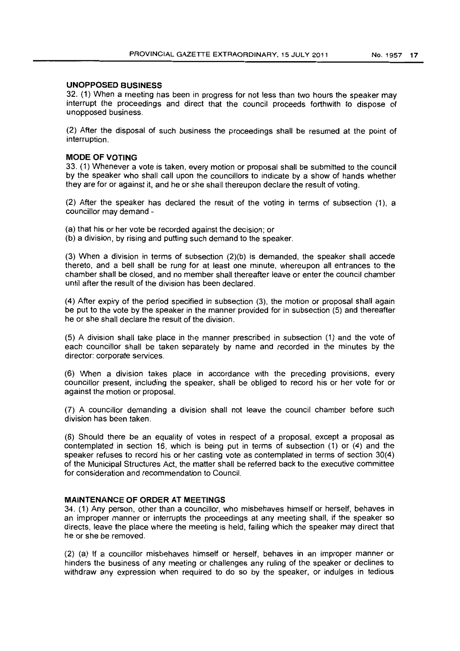#### **UNOPPOSED BUSINESS**

32. (1) When a meeting has been in progress for not less than two hours the speaker may interrupt the proceedings and direct that the council proceeds forthwith to dispose of unopposed business.

(2) After the disposal of such business the proceedings shall be resumed at the point of interruption.

# **MODE OF VOTING**

33. (1) Whenever a vote is taken, every motion or proposal shall be submitted to the council by the speaker who shall call upon the councillors to indicate by a show of hands whether they are for or against it, and he or she shall thereupon declare the result of voting.

(2) After the speaker has declared the result of the voting in terms of subsection (1), a councillor may demand -

(a) that his or her vote be recorded against the decision; or

(b) a division, by rising and putting such demand to the speaker.

(3) When a division in terms of subsection (2)(b) is demanded, the speaker shall accede thereto, and a bell shall be rung for at least one minute, whereupon all entrances to the chamber shall be closed, and no member shall thereafter leave or enter the council chamber until after the result of the division has been declared.

(4) After expiry of the period specified in subsection (3), the motion or proposal shall again be put to the vote by the speaker in the manner provided for in subsection (5) and thereafter he or she shall declare the result of the division.

(5) A division shall take place in the manner prescribed in subsection (1) and the vote of each councillor shall be taken separately by name and recorded in the minutes by the director: corporate services.

(6) When a division takes place in accordance with the preceding provisions, every councillor present, including the speaker, shall be obliged to record his or her vote for or against the motion or proposal.

(7) A councillor demanding a division shall not leave the council chamber before such division has been taken.

(8) Should there be an equality of votes in respect of a proposal, except a proposal as contemplated in section 16. which is being put in terms of subsection (1) or (4) and the speaker refuses to record his or her casting vote as contemplated in terms of section 30(4) of the Municipal Structures Act, the matter shall be referred back to the executive committee for consideration and recommendation to Council.

#### **MAINTENANCE OF ORDER AT MEETINGS**

34. (1) Any person, other than a councillor, who misbehaves himself or herself, behaves in an improper manner or interrupts the proceedings at any meeting shall, if the speaker so directs, leave the place where the meeting is held, failing which the speaker may direct that he or she be removed.

(2) (a) If a councillor misbehaves himself or herself, behaves in an improper manner or hinders the business of any meeting or challenges any ruling of the speaker or declines to withdraw any expression when required to do so by the speaker, or indulges in tedious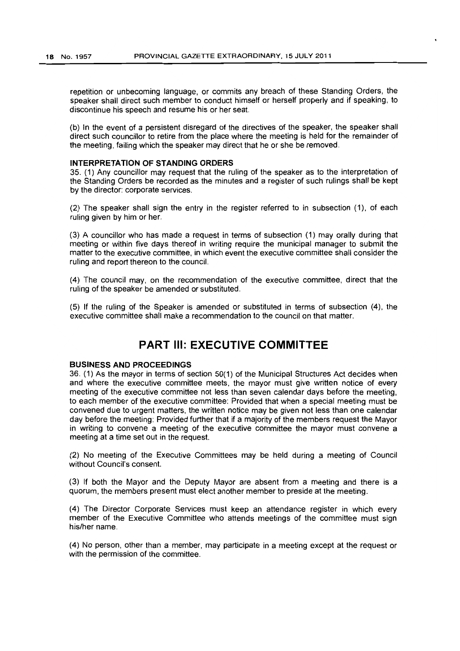repetition or unbecoming language, or commits any breach of these Standing Orders, the speaker shall direct such member to conduct himself or herself properly and if speaking, to discontinue his speech and resume his or her seat.

(b) In the event of a persistent disregard of the directives of the speaker, the speaker shall direct such councillor to retire from the place where the meeting is held for the remainder of the meeting, failing which the speaker may direct that he or she be removed.

#### **INTERPRETATION OF STANDING ORDERS**

35. (1) Any councillor may request that the ruling of the speaker as to the interpretation of the Standing Orders be recorded as the minutes and a register of such rulings shall be kept by the director: corporate services.

(2) The speaker shall sign the entry in the register referred to in subsection (1), of each ruling given by him or her.

(3) A councillor who has made a request in terms of subsection (1) may orally during that meeting or within five days thereof in writing require the municipal manager to submit the matter to the executive committee, in which event the executive committee shall consider the ruling and report thereon to the council.

(4) The council may, on the recommendation of the executive committee, direct that the ruling of the speaker be amended or substituted.

(5) If the ruling of the Speaker is amended or substituted in terms of subsection (4), the executive committee shall make a recommendation to the council on that matter.

# **PART III: EXECUTIVE COMMITTEE**

#### **BUSINESS AND PROCEEDINGS**

36. (1) As the mayor in terms of section 50(1) of the Municipal Structures Act decides when and where the executive committee meets, the mayor must give written notice of every meeting of the executive committee not less than seven calendar days before the meeting, to each member of the executive committee: Provided that when a special meeting must be convened due to urgent matters, the written notice may be given not less than one calendar day before the meeting: Provided further that if a majority of the members request the Mayor in writing to convene a meeting of the executive committee the mayor must convene a meeting at a time set out in the request.

(2) No meeting of the Executive Committees may be held during a meeting of Council without Council's consent.

(3) If both the Mayor and the Deputy Mayor are absent from a meeting and there is a quorum, the members present must elect another member to preside at the meeting.

(4) The Director Corporate Services must keep an attendance register in which every member of the Executive Committee who attends meetings of the committee must sign his/her name.

(4) No person, other than a member, may participate in a meeting except at the request or with the permission of the committee.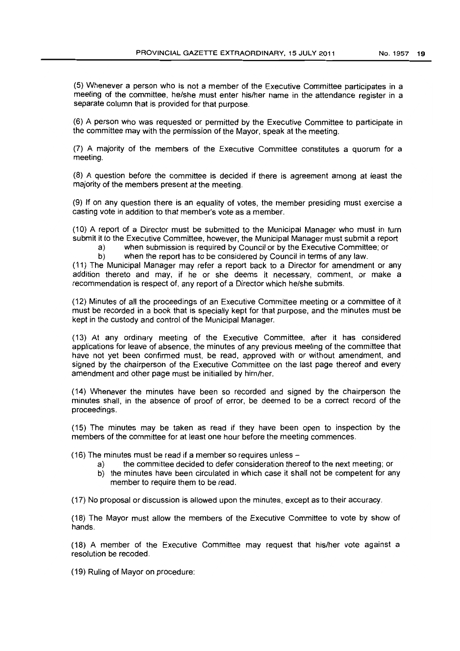(5) Whenever a person who is not a member of the Executive Committee participates in a meeting of the committee, he/she must enter his/her name in the attendance register in a separate column that is provided for that purpose.

(6) A person who was requested or permitted by the Executive Committee to participate in the committee may with the permission of the Mayor, speak at the meeting.

(7) A majority of the members of the Executive Committee constitutes a quorum for a meeting.

(S) A question before the committee is decided if there is agreement among at least the majority of the members present at the meeting.

(9) If on any question there is an equality of votes, the member presiding must exercise a casting vote in addition to that member's vote as a member.

(10) A report of a Director must be submitted to the Municipal Manager who must in turn submit it to the Executive Committee, however, the Municipal Manager must submit a report

- a) when submission is required by Council or by the Executive Committee; or
- b) when the report has to be considered by Council in terms of any law.

(11) The Municipal Manager may refer a report back to a Director for amendment or any addition thereto and may, if he or she deems it necessary, comment, or make a recommendation is respect of, any report of a Director which he/she submits.

(12) Minutes of all the proceedings of an Executive Committee meeting or a committee of it must be recorded in a book that is specially kept for that purpose, and the minutes must be kept in the custody and control of the Municipal Manager.

(13) At any ordinary meeting of the Executive Committee, after it has considered applications for leave of absence, the minutes of any previous meeting of the committee that have not yet been confirmed must, be read, approved with or without amendment, and signed by the chairperson of the Executive Committee on the last page thereof and every amendment and other page must be initialled by him/her.

(14) Whenever the minutes have been so recorded and signed by the chairperson the minutes shall, in the absence of proof of error, be deemed to be a correct record of the proceedings.

(15) The minutes may be taken as read if they have been open to inspection by the members of the committee for at least one hour before the meeting commences.

(16) The minutes must be read if a member so requires unless-

- a) the committee decided to defer consideration thereof to the next meeting; or
- b) the minutes have been circulated in which case it shall not be competent for any member to require them to be read.

(17) No proposal or discussion is allowed upon the minutes, except as to their accuracy.

(18) The Mayor must allow the members of the Executive Committee to vote by show of hands.

(18) A member of the Executive Committee may request that hislher vote against a resolution be recoded.

(19) Ruling of Mayor on procedure: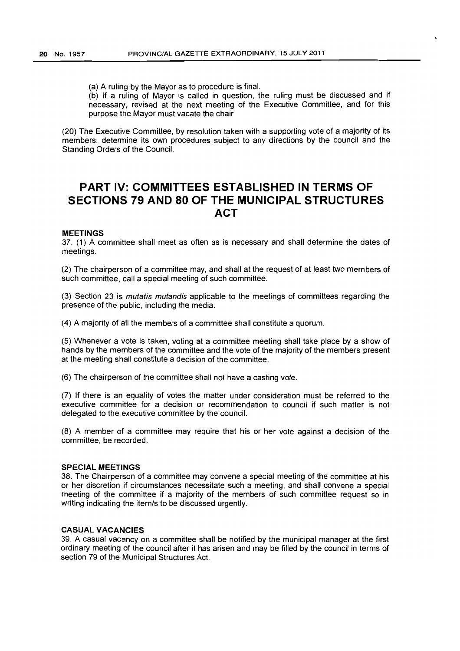(a) A ruling by the Mayor as to procedure is final.

(b) If a ruling of Mayor is called in question, the ruling must be discussed and if necessary, revised at the next meeting of the Executive Committee, and for this purpose the Mayor must vacate the chair

(20) The Executive Committee, by resolution taken with a supporting vote of a majority of its members, determine its own procedures subject to any directions by the council and the Standing Orders of the Council.

# **PART IV: COMMITTEES ESTABLISHED IN TERMS OF SECTIONS 79 AND 80 OF THE MUNICIPAL STRUCTURES ACT**

#### **MEETINGS**

37. (1) A committee shall meet as often as is necessary and shall determine the dates of meetings.

(2) The chairperson of a committee may, and shall at the request of at least two members of such committee, call a special meeting of such committee.

(3) Section 23 is mutatis mutandis applicable to the meetings of committees regarding the presence of the public, including the media.

(4) A majority of all the members of a committee shall constitute a quorum.

(5) Whenever a vote is taken, voting at a committee meeting shall take place by a show of hands by the members of the committee and the vote of the majority of the members present at the meeting shall constitute a decision of the committee.

(6) The chairperson of the committee shall not have a casting vote.

(7) If there is an equality of votes the matter under consideration must be referred to the executive committee for a decision or recommendation to council if such matter is not delegated to the executive committee by the council.

(8) A member of a committee may require that his or her vote against a decision of the committee, be recorded.

#### **SPECIAL MEETINGS**

38. The Chairperson of a committee may convene a special meeting of the committee at his or her discretion if circumstances necessitate such a meeting. and shall convene a special meeting of the committee if a majority of the members of such committee request so in writing indicating the item/s to be discussed urgently.

#### **CASUAL VACANCIES**

39. A casual vacancy on a committee shall be notified by the municipal manager at the first ordinary meeting of the council after it has arisen and may be filled by the council in terms of section 79 of the Municipal Structures Act.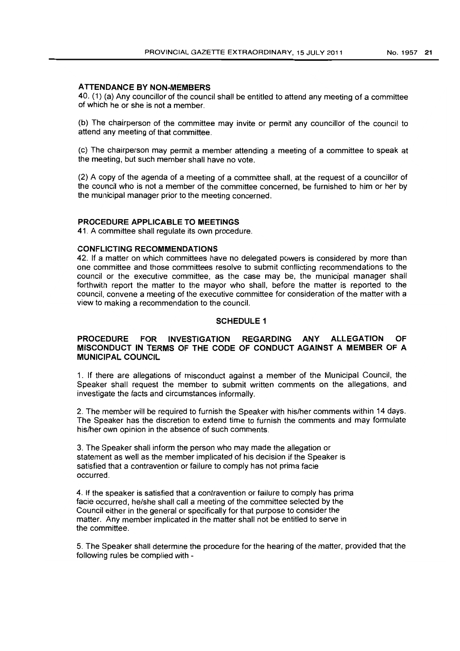#### **ATTENDANCE BY NON-MEMBERS**

40. (1) (a) Any councillor of the council shall be entitled to attend any meeting of a committee of which he or she is not a member.

(b) The chairperson of the committee may invite or permit any councillor of the council to attend any meeting of that committee.

(c) The chairperson may permit a member attending a meeting of a committee to speak at the meeting, but such member shall have no vote.

(2) A copy of the agenda of a meeting of a committee shall, at the request of a councillor of the council who is not a member of the committee concerned, be furnished to him or her by the municipal manager prior to the meeting concerned.

#### **PROCEDURE APPLICABLE TO MEETINGS**

41. A committee shall regulate its own procedure.

#### **CONFLICTING RECOMMENDATIONS**

42. If a matter on which committees have no delegated powers is considered by more than one committee and those committees resolve to submit conflicting recommendations to the council or the executive committee, as the case may be, the municipal manager shall forthwith report the matter to the mayor who shall, before the matter is reported to the council, convene a meeting of the executive committee for consideration of the matter with a view to making a recommendation to the council.

#### **SCHEDULE 1**

### **PROCEDURE FOR INVESTIGATION REGARDING ANY ALLEGATION OF MISCONDUCT IN TERMS OF THE CODE OF CONDUCT AGAINST A MEMBER OF A MUNICIPAL COUNCIL**

1. If there are allegations of misconduct against a member of the Municipal Council, the Speaker shall request the member to submit written comments on the allegations, and investigate the facts and circumstances informally.

2. The member will be required to furnish the Speaker with his/her comments within 14 days. The Speaker has the discretion to extend time to furnish the comments and may formulate his/her own opinion in the absence of such comments.

3. The Speaker shall inform the person who may made the allegation or statement as well as the member implicated of his decision if the Speaker is satisfied that a contravention or failure to comply has not prima facie occurred.

4. If the speaker is satisfied that a contravention or failure to comply has prima facie occurred, he/she shall call a meeting of the committee selected by the Council either in the general or specifically for that purpose to consider the matter. Any member implicated in the matter shall not be entitled to serve in the committee.

5. The Speaker shall determine the procedure for the hearing of the matter, provided that the following rules be complied with -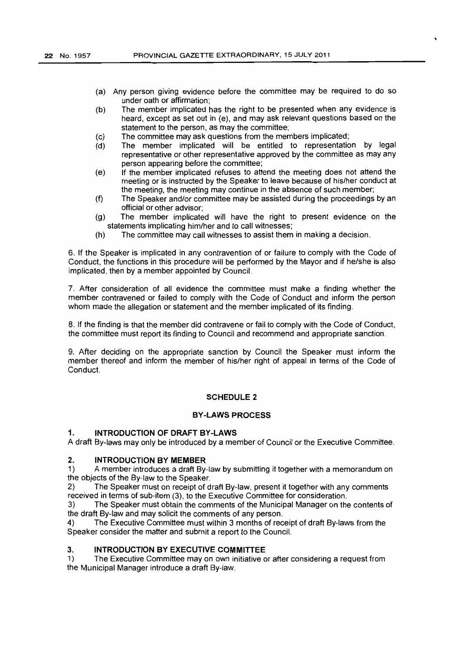- (a) Any person giving evidence before the committee may be required to do so under oath or affirmation;
- (b) The member implicated has the right to be presented when any evidence is heard, except as set out in (e), and may ask relevant questions based on the statement to the person, as may the committee;
- (c) The committee may ask questions from the members implicated;
- (d) The member implicated will be entitled to representation by legal representative or other representative approved by the committee as may any person appearing before the committee;
- (e) If the member implicated refuses to attend the meeting does not attend the meeting or is instructed by the Speaker to leave because of his/her conduct at the meeting, the meeting may continue in the absence of such member;
- (f) The Speaker and/or committee may be assisted during the proceedings by an official or other advisor;
- (g) The member implicated will have the right to present evidence on the statements implicating him/her and to call witnesses;
- (h) The committee may call witnesses to assist them in making a decision.

6. If the Speaker is implicated in any contravention of or failure to comply with the Code of Conduct, the functions in this procedure will be performed by the Mayor and if he/she is also implicated, then by a member appointed by Council.

7. After consideration of all evidence the committee must make a finding whether the member contravened or failed to comply with the Code of Conduct and inform the person whom made the allegation or statement and the member implicated of its finding.

8. If the finding is that the member did contravene or fail to comply with the Code of Conduct, the committee must report its finding to Council and recommend and appropriate sanction.

9. After deciding on the appropriate sanction by Council the Speaker must inform the member thereof and inform the member of his/her right of appeal in terms of the Code of Conduct.

#### SCHEDULE 2

#### BY-LAWS PROCESS

#### 1. INTRODUCTION OF DRAFT BY-LAWS

A draft By-laws may only be introduced by a member of Council or the Executive Committee.

# 2. **INTRODUCTION BY MEMBER**<br>1) A member introduces a draft By

1) A member introduces a draft By-law by submitting it together with a memorandum on the objects of the By-law to the Speaker.

2) The Speaker must on receipt of draft By-law, present it together with any comments received in terms of sub-item (3), to the Executive Committee for consideration.

3) The Speaker must obtain the comments of the Municipal Manager on the contents of the draft By-law and may solicit the comments of any person.

4) The Executive Committee must within 3 months of receipt of draft By-laws from the Speaker consider the matter and submit a report to the Council.

#### 3. INTRODUCTION BY EXECUTIVE COMMITTEE

1) The Executive Committee may on own initiative or after considering a request from the Municipal Manager introduce a draft By-law.